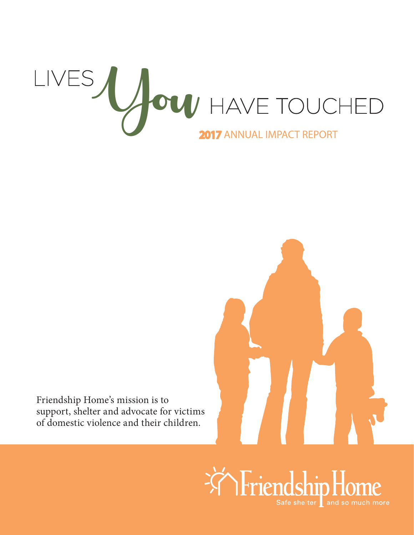



Friendship Home's mission is to support, shelter and advocate for victims of domestic violence and their children.

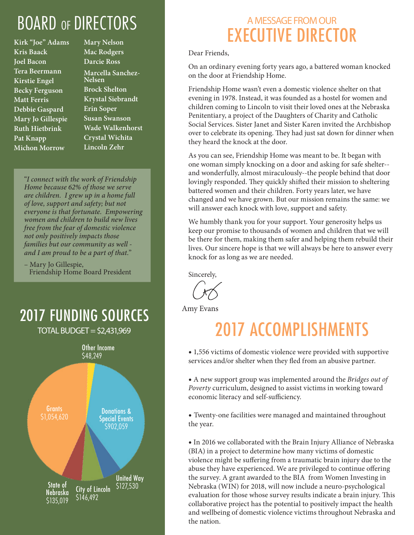## BOARD OF DIRECTORS

**Kirk "Joe" Adams Kris Baack Joel Bacon Tera Beermann Kirstie Engel Becky Ferguson Matt Ferris Debbie Gaspard Mary Jo Gillespie Ruth Hietbrink Pat Knapp Michon Morrow**

**Mary Nelson Mac Rodgers Darcie Ross Marcella Sanchez-Nelsen Brock Shelton Krystal Siebrandt Erin Soper Susan Swanson Wade Walkenhorst Crystal Wichita Lincoln Zehr**

"*I connect with the work of Friendship Home because 62% of those we serve are children. I grew up in a home full of love, support and safety; but not everyone is that fortunate. Empowering women and children to build new lives free from the fear of domestic violence not only positively impacts those families but our community as well and I am proud to be a part of that.*"

– Mary Jo Gillespie, Friendship Home Board President

2017 FUNDING SOURCES  $TOTAL$  BUDGET = \$2,431,969

> Other Income \$48,249



### A MESSAGE FROM OUR EXECUTIVE DIRECTOR

Dear Friends,

On an ordinary evening forty years ago, a battered woman knocked on the door at Friendship Home.

Friendship Home wasn't even a domestic violence shelter on that evening in 1978. Instead, it was founded as a hostel for women and children coming to Lincoln to visit their loved ones at the Nebraska Penitentiary, a project of the Daughters of Charity and Catholic Social Services. Sister Janet and Sister Karen invited the Archbishop over to celebrate its opening. They had just sat down for dinner when they heard the knock at the door.

As you can see, Friendship Home was meant to be. It began with one woman simply knocking on a door and asking for safe shelter- and wonderfully, almost miraculously--the people behind that door lovingly responded. They quickly shifted their mission to sheltering battered women and their children. Forty years later, we have changed and we have grown. But our mission remains the same: we will answer each knock with love, support and safety.

We humbly thank you for your support. Your generosity helps us keep our promise to thousands of women and children that we will be there for them, making them safer and helping them rebuild their lives. Our sincere hope is that we will always be here to answer every knock for as long as we are needed.

Sincerely,

Amy Evans

## 2017 ACCOMPLISHMENTS

• 1,556 victims of domestic violence were provided with supportive services and/or shelter when they fled from an abusive partner.

• A new support group was implemented around the *Bridges out of Poverty* curriculum, designed to assist victims in working toward economic literacy and self-sufficiency.

• Twenty-one facilities were managed and maintained throughout the year.

•In 2016 we collaborated with the Brain Injury Alliance of Nebraska (BIA) in a project to determine how many victims of domestic violence might be suffering from a traumatic brain injury due to the abuse they have experienced. We are privileged to continue offering the survey. A grant awarded to the BIA from Women Investing in Nebraska (WIN) for 2018, will now include a neuro-psychological evaluation for those whose survey results indicate a brain injury. This collaborative project has the potential to positively impact the health and wellbeing of domestic violence victims throughout Nebraska and the nation.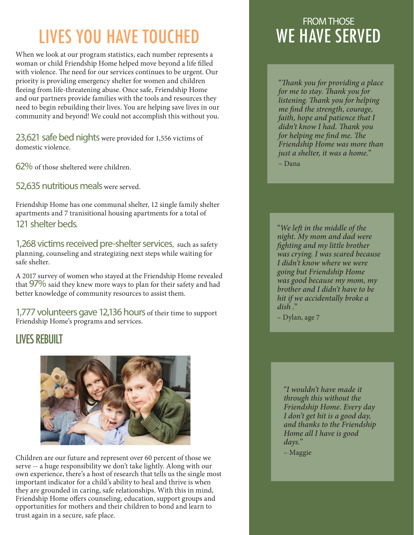# LIVES YOU HAVE TOUCHED

When we look at our program statistics, each number represents a woman or child Friendship Home helped move beyond a life filled with violence. The need for our services continues to be urgent. Our priority is providing emergency shelter for women and children fleeing from life-threatening abuse. Once safe, Friendship Home and our partners provide families with the tools and resources they need to begin rebuilding their lives. You are helping save lives in our community and beyond! We could not accomplish this without you.

23,621 safe bed nights were provided for 1,556 victims of domestic violence.

62% of those sheltered were children.

52,635 nutritious meals were served.

Friendship Home has one communal shelter, 12 single family shelter apartments and 7 tranisitional housing apartments for a total of 121 shelter beds.

1,268 victims received pre-shelter services, such as safety planning, counseling and strategizing next steps while waiting for safe shelter.

A 2017 survey of women who stayed at the Friendship Home revealed that 97% said they knew more ways to plan for their safety and had better knowledge of community resources to assist them.

1,777 volunteers gave 12,136 hours of their time to support Friendship Home's programs and services.

#### LIVES REBUILT



Children are our future and represent over 60 percent of those we serve -- a huge responsibility we don't take lightly. Along with our own experience, there's a host of research that tells us the single most important indicator for a child's ability to heal and thrive is when they are grounded in caring, safe relationships. With this in mind, Friendship Home offers counseling, education, support groups and opportunities for mothers and their children to bond and learn to trust again in a secure, safe place.

### FROM THOSE WE HAVE SERVED

"*Thank you for providing a place for me to stay. Thank you for listening. Thank you for helping me find the strength, courage, faith, hope and patience that I didn't know I had. Thank you for helping me find me. The Friendship Home was more than just a shelter, it was a home.*" – Dana

"*We left in the middle of the night. My mom and dad were fighting and my little brother was crying. I was scared because I didn't know where we were going but Friendship Home was good because my mom, my brother and I didn't have to be hit if we accidentally broke a dish .*"

– Dylan, age 7

"*I wouldn't have made it through this without the Friendship Home. Every day I don't get hit is a good day, and thanks to the Friendship Home all I have is good days.*"

– Maggie